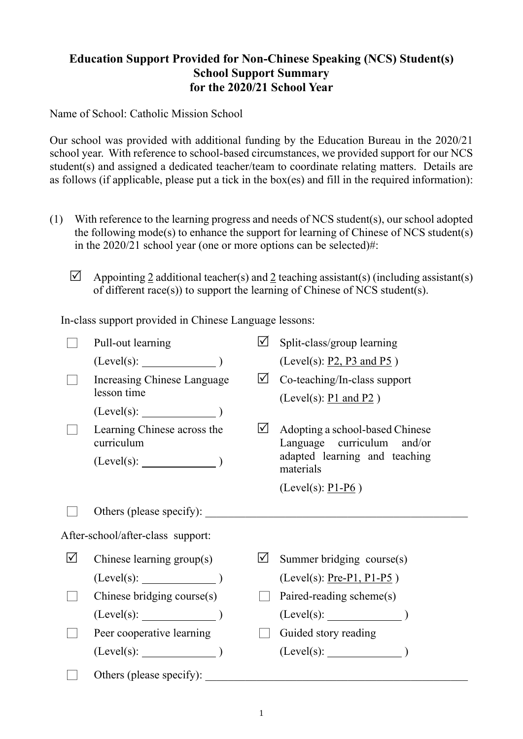## **Education Support Provided for Non-Chinese Speaking (NCS) Student(s) School Support Summary for the 2020/21 School Year**

Name of School: Catholic Mission School

Our school was provided with additional funding by the Education Bureau in the 2020/21 school year. With reference to school-based circumstances, we provided support for our NCS student(s) and assigned a dedicated teacher/team to coordinate relating matters. Details are as follows (if applicable, please put a tick in the box(es) and fill in the required information):

- (1) With reference to the learning progress and needs of NCS student(s), our school adopted the following mode(s) to enhance the support for learning of Chinese of NCS student(s) in the 2020/21 school year (one or more options can be selected)#:
	- $\triangledown$  Appointing 2 additional teacher(s) and 2 teaching assistant(s) (including assistant(s) of different race(s)) to support the learning of Chinese of NCS student(s).

In-class support provided in Chinese Language lessons:

|                                   | Pull-out learning                          | $\overline{\mathsf{M}}$ | Split-class/group learning                                    |  |
|-----------------------------------|--------------------------------------------|-------------------------|---------------------------------------------------------------|--|
|                                   | $(Level(s):$ $)$                           |                         | (Level(s): $P2$ , $P3$ and $P5$ )                             |  |
|                                   | Increasing Chinese Language<br>lesson time | $\sqrt{}$               | Co-teaching/In-class support<br>(Level(s): $P1$ and $P2$ )    |  |
|                                   | $(Level(s):$ $)$                           |                         |                                                               |  |
|                                   | Learning Chinese across the<br>curriculum  | $\mathcal{M}$           | Adopting a school-based Chinese<br>Language curriculum and/or |  |
|                                   | $(Level(s):$ $)$                           |                         | adapted learning and teaching<br>materials                    |  |
|                                   |                                            |                         | (Level(s): $P1-P6$ )                                          |  |
|                                   | Others (please specify):                   |                         |                                                               |  |
| After-school/after-class support: |                                            |                         |                                                               |  |
| $\Delta$                          | Chinese learning group(s)                  | l۷l                     | Summer bridging course(s)                                     |  |
|                                   | $(Level(s):$ (Level(s):                    |                         | $(Level(s): Pre-P1, P1-P5)$                                   |  |
|                                   | Chinese bridging course(s)                 |                         | Paired-reading scheme(s)                                      |  |
|                                   |                                            |                         |                                                               |  |
|                                   | Peer cooperative learning                  |                         | Guided story reading                                          |  |
|                                   | $(Level(s):$ (Level(s): (1)                |                         | $(Level(s):$ (Level(s):                                       |  |
|                                   | Others (please specify):                   |                         |                                                               |  |